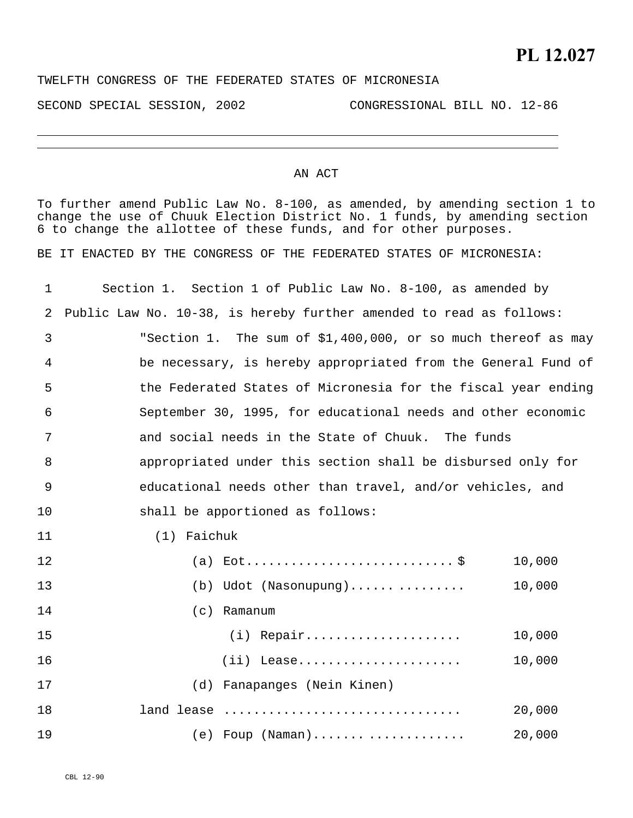TWELFTH CONGRESS OF THE FEDERATED STATES OF MICRONESIA

SECOND SPECIAL SESSION, 2002 CONGRESSIONAL BILL NO. 12-86

## AN ACT

To further amend Public Law No. 8-100, as amended, by amending section 1 to change the use of Chuuk Election District No. 1 funds, by amending section 6 to change the allottee of these funds, and for other purposes.

BE IT ENACTED BY THE CONGRESS OF THE FEDERATED STATES OF MICRONESIA:

| 1  | Section 1. Section 1 of Public Law No. 8-100, as amended by         |
|----|---------------------------------------------------------------------|
| 2  | Public Law No. 10-38, is hereby further amended to read as follows: |
| 3  | "Section 1. The sum of \$1,400,000, or so much thereof as may       |
| 4  | be necessary, is hereby appropriated from the General Fund of       |
| 5  | the Federated States of Micronesia for the fiscal year ending       |
| 6  | September 30, 1995, for educational needs and other economic        |
| 7  | and social needs in the State of Chuuk. The funds                   |
| 8  | appropriated under this section shall be disbursed only for         |
| 9  | educational needs other than travel, and/or vehicles, and           |
| 10 | shall be apportioned as follows:                                    |
| 11 | (1) Faichuk                                                         |
| 12 | 10,000                                                              |
| 13 | (b) Udot (Nasonupung)<br>10,000                                     |
| 14 | $(c)$ Ramanum                                                       |
| 15 | $(i)$ Repair<br>10,000                                              |
| 16 | 10,000<br>$(ii)$ Lease                                              |
| 17 | (d) Fanapanges (Nein Kinen)                                         |
| 18 | 20,000<br>land lease                                                |
| 19 | 20,000<br>$(e)$ Foup $(Naman)$                                      |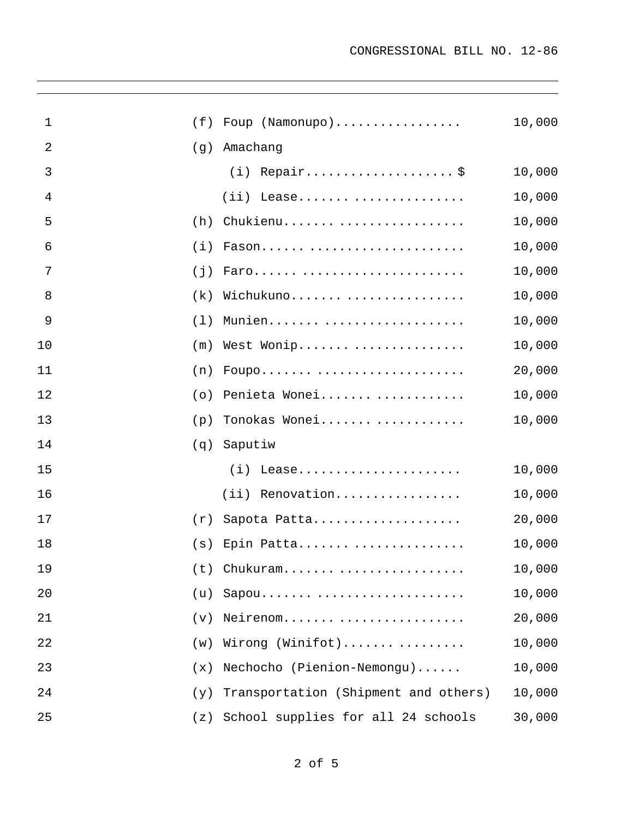| 1  | (f) | Foup (Namonupo)                      | 10,000 |
|----|-----|--------------------------------------|--------|
| 2  | (g) | Amachang                             |        |
| 3  |     | $(i)$ Repair\$                       | 10,000 |
| 4  |     | $(i)$ Lease                          | 10,000 |
| 5  | (h) | Chukienu                             | 10,000 |
| 6  | (i) | Fason                                | 10,000 |
| 7  | (j) | Faro                                 | 10,000 |
| 8  | (k) | Wichukuno                            | 10,000 |
| 9  | (1) | Munien                               | 10,000 |
| 10 | (m) | West Wonip                           | 10,000 |
| 11 | (n) | Foupo                                | 20,000 |
| 12 | (0) | Penieta Wonei                        | 10,000 |
| 13 | (p) | Tonokas Wonei                        | 10,000 |
| 14 | (q) | Saputiw                              |        |
| 15 |     | $(i)$ Lease                          | 10,000 |
| 16 |     | (ii) Renovation                      | 10,000 |
| 17 | (r) | Sapota Patta                         | 20,000 |
| 18 | (s) | Epin Patta                           | 10,000 |
| 19 |     | $(t)$ Chukuram                       | 10,000 |
| 20 | (u) | Sapou                                | 10,000 |
| 21 | (v) | Neirenom                             | 20,000 |
| 22 | (w) | Wirong (Winifot)                     | 10,000 |
| 23 | (x) | Nechocho (Pienion-Nemongu)           | 10,000 |
| 24 | (y) | Transportation (Shipment and others) | 10,000 |
| 25 | (z) | School supplies for all 24 schools   | 30,000 |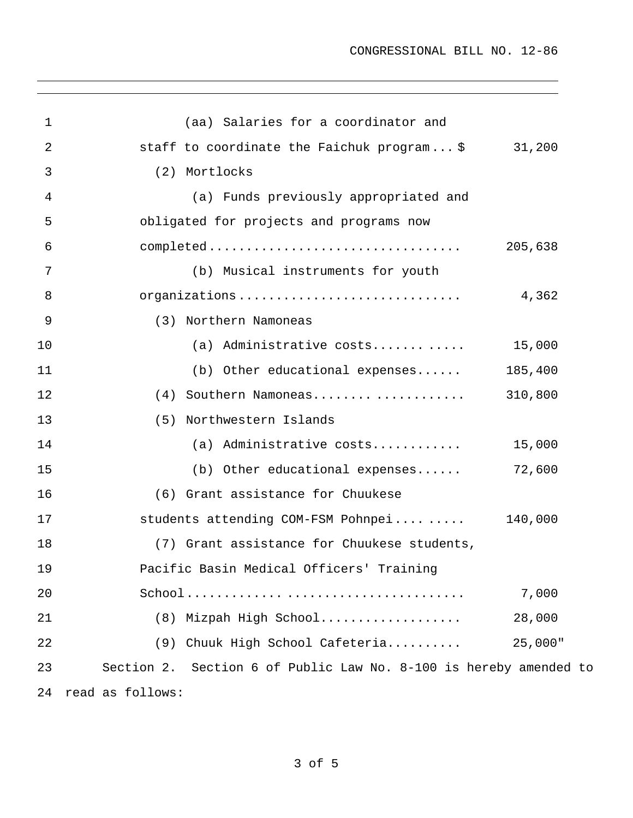| $\mathbf{1}$ | (aa) Salaries for a coordinator and                               |         |  |
|--------------|-------------------------------------------------------------------|---------|--|
| 2            | staff to coordinate the Faichuk program\$ 31,200                  |         |  |
| 3            | (2) Mortlocks                                                     |         |  |
| 4            | (a) Funds previously appropriated and                             |         |  |
| 5            | obligated for projects and programs now                           |         |  |
| 6            |                                                                   | 205,638 |  |
| 7            | (b) Musical instruments for youth                                 |         |  |
| 8            | organizations                                                     | 4,362   |  |
| 9            | (3) Northern Namoneas                                             |         |  |
| 10           | (a) Administrative costs                                          | 15,000  |  |
| 11           | (b) Other educational expenses                                    | 185,400 |  |
| 12           | (4) Southern Namoneas                                             | 310,800 |  |
| 13           | (5) Northwestern Islands                                          |         |  |
| 14           | (a) Administrative costs                                          | 15,000  |  |
| 15           | (b) Other educational expenses                                    | 72,600  |  |
| 16           | (6) Grant assistance for Chuukese                                 |         |  |
| 17           | students attending COM-FSM Pohnpei                                | 140,000 |  |
| 18           | (7) Grant assistance for Chuukese students,                       |         |  |
| 19           | Pacific Basin Medical Officers' Training                          |         |  |
| 20           |                                                                   | 7,000   |  |
| 21           | (8) Mizpah High School                                            | 28,000  |  |
| 22           | Chuuk High School Cafeteria<br>(9)                                | 25,000" |  |
| 23           | Section 2. Section 6 of Public Law No. 8-100 is hereby amended to |         |  |
| 24           | read as follows:                                                  |         |  |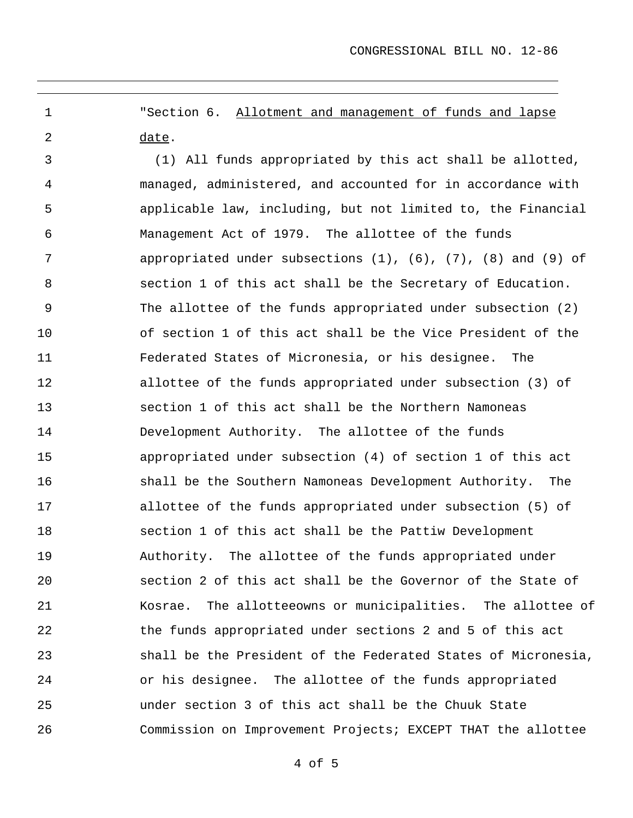"Section 6. Allotment and management of funds and lapse date. 1 2

3 4 5 6 7 8 9 10 11 12 13 14 15 16 17 18 19 20 21 22 23 24 25 26 (1) All funds appropriated by this act shall be allotted, managed, administered, and accounted for in accordance with applicable law, including, but not limited to, the Financial Management Act of 1979. The allottee of the funds appropriated under subsections  $(1)$ ,  $(6)$ ,  $(7)$ ,  $(8)$  and  $(9)$  of section 1 of this act shall be the Secretary of Education. The allottee of the funds appropriated under subsection (2) of section 1 of this act shall be the Vice President of the Federated States of Micronesia, or his designee. The allottee of the funds appropriated under subsection (3) of section 1 of this act shall be the Northern Namoneas Development Authority. The allottee of the funds appropriated under subsection (4) of section 1 of this act shall be the Southern Namoneas Development Authority. The allottee of the funds appropriated under subsection (5) of section 1 of this act shall be the Pattiw Development Authority. The allottee of the funds appropriated under section 2 of this act shall be the Governor of the State of Kosrae. The allotteeowns or municipalities. The allottee of the funds appropriated under sections 2 and 5 of this act shall be the President of the Federated States of Micronesia, or his designee. The allottee of the funds appropriated under section 3 of this act shall be the Chuuk State Commission on Improvement Projects; EXCEPT THAT the allottee

4 of 5